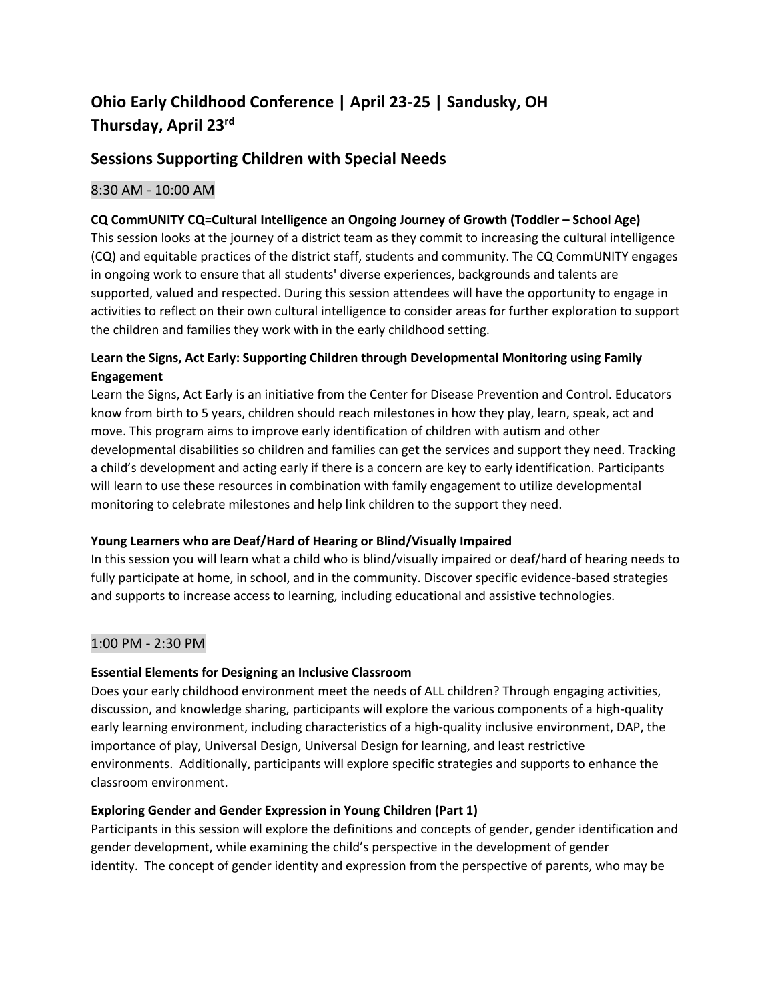# **Ohio Early Childhood Conference | April 23-25 | Sandusky, OH Thursday, April 23 rd**

## **Sessions Supporting Children with Special Needs**

### 8:30 AM - 10:00 AM

#### **CQ CommUNITY CQ=Cultural Intelligence an Ongoing Journey of Growth (Toddler – School Age)**

This session looks at the journey of a district team as they commit to increasing the cultural intelligence (CQ) and equitable practices of the district staff, students and community. The CQ CommUNITY engages in ongoing work to ensure that all students' diverse experiences, backgrounds and talents are supported, valued and respected. During this session attendees will have the opportunity to engage in activities to reflect on their own cultural intelligence to consider areas for further exploration to support the children and families they work with in the early childhood setting.

#### **Learn the Signs, Act Early: Supporting Children through Developmental Monitoring using Family Engagement**

Learn the Signs, Act Early is an initiative from the Center for Disease Prevention and Control. Educators know from birth to 5 years, children should reach milestones in how they play, learn, speak, act and move. This program aims to improve early identification of children with autism and other developmental disabilities so children and families can get the services and support they need. Tracking a child's development and acting early if there is a concern are key to early identification. Participants will learn to use these resources in combination with family engagement to utilize developmental monitoring to celebrate milestones and help link children to the support they need.

#### **Young Learners who are Deaf/Hard of Hearing or Blind/Visually Impaired**

In this session you will learn what a child who is blind/visually impaired or deaf/hard of hearing needs to fully participate at home, in school, and in the community. Discover specific evidence-based strategies and supports to increase access to learning, including educational and assistive technologies.

#### 1:00 PM - 2:30 PM

#### **Essential Elements for Designing an Inclusive Classroom**

Does your early childhood environment meet the needs of ALL children? Through engaging activities, discussion, and knowledge sharing, participants will explore the various components of a high-quality early learning environment, including characteristics of a high-quality inclusive environment, DAP, the importance of play, Universal Design, Universal Design for learning, and least restrictive environments. Additionally, participants will explore specific strategies and supports to enhance the classroom environment.

#### **Exploring Gender and Gender Expression in Young Children (Part 1)**

Participants in this session will explore the definitions and concepts of gender, gender identification and gender development, while examining the child's perspective in the development of gender identity. The concept of gender identity and expression from the perspective of parents, who may be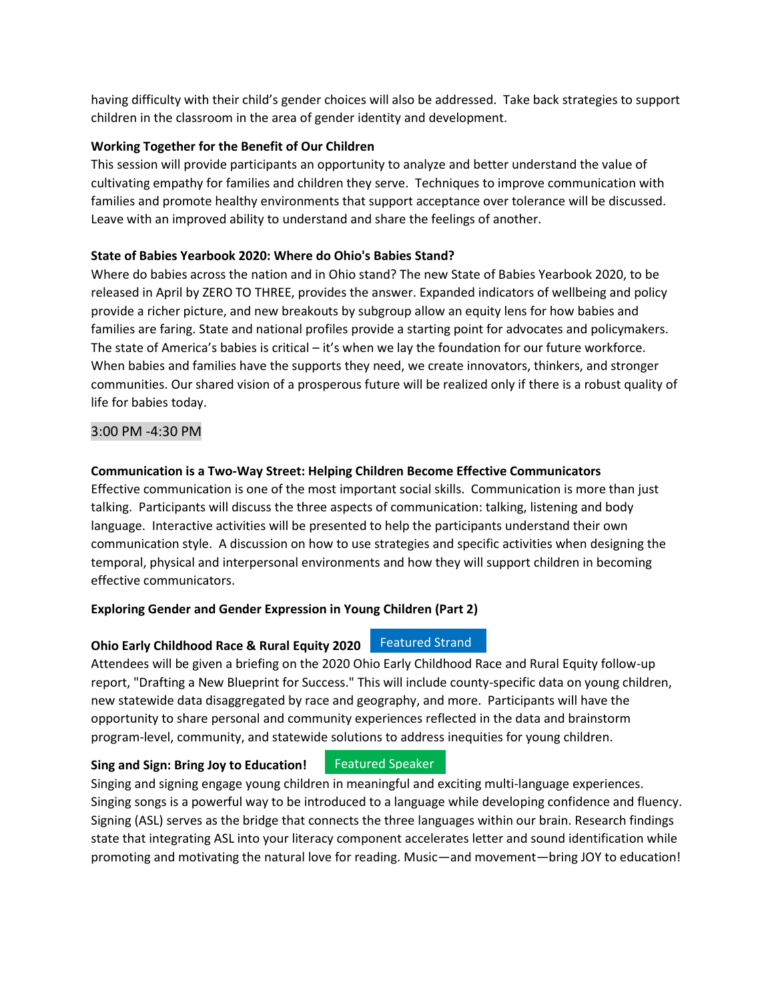having difficulty with their child's gender choices will also be addressed. Take back strategies to support children in the classroom in the area of gender identity and development.

#### **Working Together for the Benefit of Our Children**

This session will provide participants an opportunity to analyze and better understand the value of cultivating empathy for families and children they serve. Techniques to improve communication with families and promote healthy environments that support acceptance over tolerance will be discussed. Leave with an improved ability to understand and share the feelings of another.

#### **State of Babies Yearbook 2020: Where do Ohio's Babies Stand?**

Where do babies across the nation and in Ohio stand? The new State of Babies Yearbook 2020, to be released in April by ZERO TO THREE, provides the answer. Expanded indicators of wellbeing and policy provide a richer picture, and new breakouts by subgroup allow an equity lens for how babies and families are faring. State and national profiles provide a starting point for advocates and policymakers. The state of America's babies is critical – it's when we lay the foundation for our future workforce. When babies and families have the supports they need, we create innovators, thinkers, and stronger communities. Our shared vision of a prosperous future will be realized only if there is a robust quality of life for babies today.

#### 3:00 PM -4:30 PM

#### **Communication is a Two-Way Street: Helping Children Become Effective Communicators**

Effective communication is one of the most important social skills. Communication is more than just talking. Participants will discuss the three aspects of communication: talking, listening and body language. Interactive activities will be presented to help the participants understand their own communication style. A discussion on how to use strategies and specific activities when designing the temporal, physical and interpersonal environments and how they will support children in becoming effective communicators.

#### **Exploring Gender and Gender Expression in Young Children (Part 2)**

#### **Ohio Early Childhood Race & Rural Equity 2020** Featured Strand

Attendees will be given a briefing on the 2020 Ohio Early Childhood Race and Rural Equity follow-up report, "Drafting a New Blueprint for Success." This will include county-specific data on young children, new statewide data disaggregated by race and geography, and more. Participants will have the opportunity to share personal and community experiences reflected in the data and brainstorm program-level, community, and statewide solutions to address inequities for young children.

#### **Sing and Sign: Bring Joy to Education!**

#### Featured Speaker

Singing and signing engage young children in meaningful and exciting multi-language experiences. Singing songs is a powerful way to be introduced to a language while developing confidence and fluency. Signing (ASL) serves as the bridge that connects the three languages within our brain. Research findings state that integrating ASL into your literacy component accelerates letter and sound identification while promoting and motivating the natural love for reading. Music—and movement—bring JOY to education!